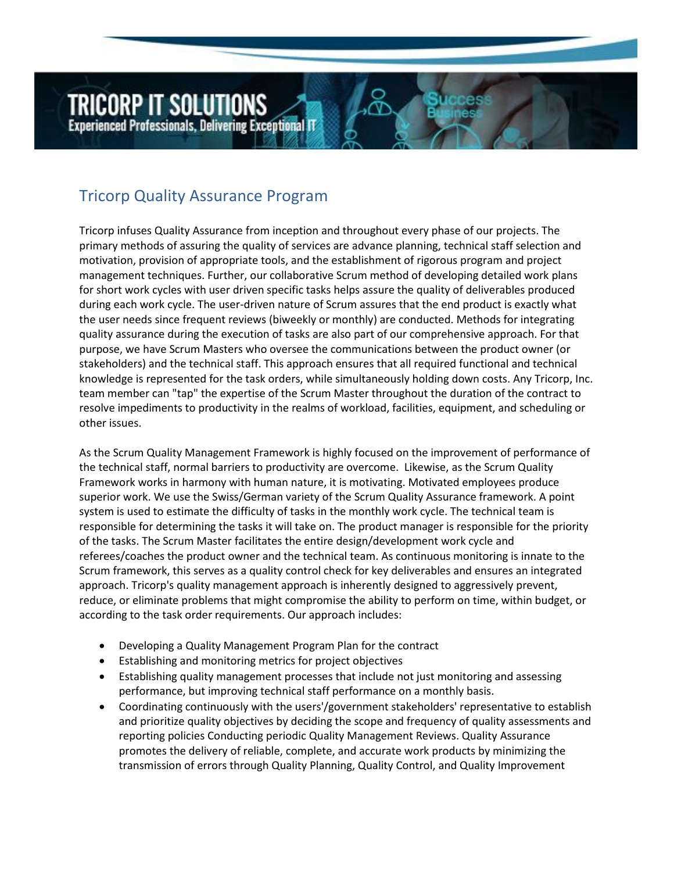**Experienced Professionals, Delivering Exceptional IT** 

**TRICORP IT SOLUTIONS** 

Tricorp Quality Assurance Program

Tricorp infuses Quality Assurance from inception and throughout every phase of our projects. The primary methods of assuring the quality of services are advance planning, technical staff selection and motivation, provision of appropriate tools, and the establishment of rigorous program and project management techniques. Further, our collaborative Scrum method of developing detailed work plans for short work cycles with user driven specific tasks helps assure the quality of deliverables produced during each work cycle. The user-driven nature of Scrum assures that the end product is exactly what the user needs since frequent reviews (biweekly or monthly) are conducted. Methods for integrating quality assurance during the execution of tasks are also part of our comprehensive approach. For that purpose, we have Scrum Masters who oversee the communications between the product owner (or stakeholders) and the technical staff. This approach ensures that all required functional and technical knowledge is represented for the task orders, while simultaneously holding down costs. Any Tricorp, Inc. team member can "tap" the expertise of the Scrum Master throughout the duration of the contract to resolve impediments to productivity in the realms of workload, facilities, equipment, and scheduling or other issues.

As the Scrum Quality Management Framework is highly focused on the improvement of performance of the technical staff, normal barriers to productivity are overcome. Likewise, as the Scrum Quality Framework works in harmony with human nature, it is motivating. Motivated employees produce superior work. We use the Swiss/German variety of the Scrum Quality Assurance framework. A point system is used to estimate the difficulty of tasks in the monthly work cycle. The technical team is responsible for determining the tasks it will take on. The product manager is responsible for the priority of the tasks. The Scrum Master facilitates the entire design/development work cycle and referees/coaches the product owner and the technical team. As continuous monitoring is innate to the Scrum framework, this serves as a quality control check for key deliverables and ensures an integrated approach. Tricorp's quality management approach is inherently designed to aggressively prevent, reduce, or eliminate problems that might compromise the ability to perform on time, within budget, or according to the task order requirements. Our approach includes:

- Developing a Quality Management Program Plan for the contract
- Establishing and monitoring metrics for project objectives
- Establishing quality management processes that include not just monitoring and assessing performance, but improving technical staff performance on a monthly basis.
- Coordinating continuously with the users'/government stakeholders' representative to establish and prioritize quality objectives by deciding the scope and frequency of quality assessments and reporting policies Conducting periodic Quality Management Reviews. Quality Assurance promotes the delivery of reliable, complete, and accurate work products by minimizing the transmission of errors through Quality Planning, Quality Control, and Quality Improvement